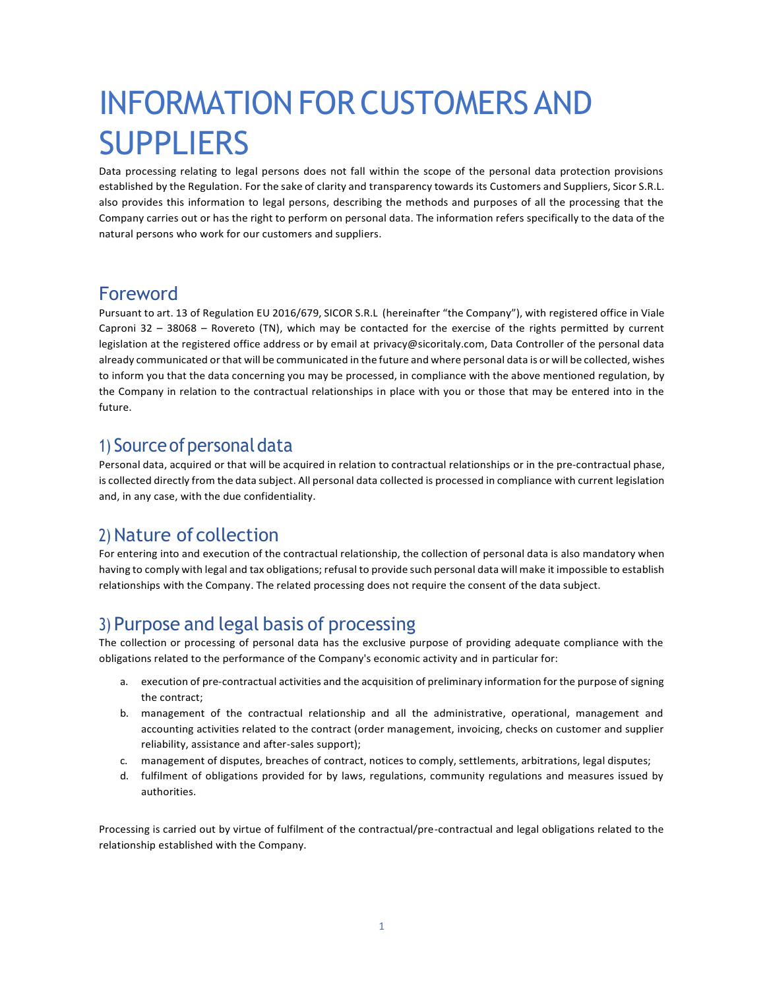# INFORMATION FOR CUSTOMERS AND SUPPLIERS

Data processing relating to legal persons does not fall within the scope of the personal data protection provisions established by the Regulation. For the sake of clarity and transparency towards its Customers and Suppliers, Sicor S.R.L. also provides this information to legal persons, describing the methods and purposes of all the processing that the Company carries out or has the right to perform on personal data. The information refers specifically to the data of the natural persons who work for our customers and suppliers.

## Foreword

Pursuant to art. 13 of Regulation EU 2016/679, SICOR S.R.L (hereinafter "the Company"), with registered office in Viale Caproni 32 – 38068 – Rovereto (TN), which may be contacted for the exercise of the rights permitted by current legislation at the registered office address or by email at [privacy@sicoritaly.com,](mailto:privacy@sicor-spa.it) Data Controller of the personal data already communicated orthat will be communicated in the future and where personal data is or will be collected, wishes to inform you that the data concerning you may be processed, in compliance with the above mentioned regulation, by the Company in relation to the contractual relationships in place with you or those that may be entered into in the future.

## 1) Source of personal data

Personal data, acquired or that will be acquired in relation to contractual relationships or in the pre-contractual phase, is collected directly from the data subject. All personal data collected is processed in compliance with current legislation and, in any case, with the due confidentiality.

# 2) Nature of collection

For entering into and execution of the contractual relationship, the collection of personal data is also mandatory when having to comply with legal and tax obligations; refusal to provide such personal data will make it impossible to establish relationships with the Company. The related processing does not require the consent of the data subject.

# 3) Purpose and legal basis of processing

The collection or processing of personal data has the exclusive purpose of providing adequate compliance with the obligations related to the performance of the Company's economic activity and in particular for:

- a. execution of pre-contractual activities and the acquisition of preliminary information for the purpose of signing the contract;
- b. management of the contractual relationship and all the administrative, operational, management and accounting activities related to the contract (order management, invoicing, checks on customer and supplier reliability, assistance and after-sales support);
- c. management of disputes, breaches of contract, notices to comply, settlements, arbitrations, legal disputes;
- d. fulfilment of obligations provided for by laws, regulations, community regulations and measures issued by authorities.

Processing is carried out by virtue of fulfilment of the contractual/pre-contractual and legal obligations related to the relationship established with the Company.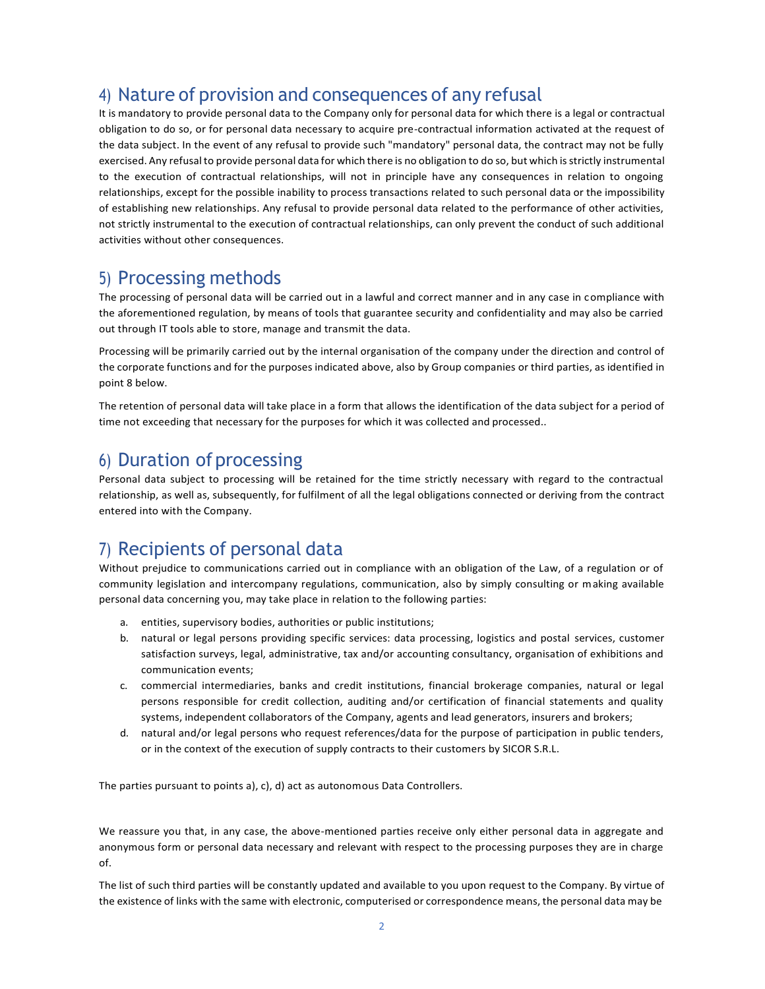# 4) Nature of provision and consequences of any refusal

It is mandatory to provide personal data to the Company only for personal data for which there is a legal or contractual obligation to do so, or for personal data necessary to acquire pre-contractual information activated at the request of the data subject. In the event of any refusal to provide such "mandatory" personal data, the contract may not be fully exercised. Any refusal to provide personal data for which there is no obligation to do so, but which is strictly instrumental to the execution of contractual relationships, will not in principle have any consequences in relation to ongoing relationships, except for the possible inability to process transactions related to such personal data or the impossibility of establishing new relationships. Any refusal to provide personal data related to the performance of other activities, not strictly instrumental to the execution of contractual relationships, can only prevent the conduct of such additional activities without other consequences.

#### 5) Processing methods

The processing of personal data will be carried out in a lawful and correct manner and in any case in compliance with the aforementioned regulation, by means of tools that guarantee security and confidentiality and may also be carried out through IT tools able to store, manage and transmit the data.

Processing will be primarily carried out by the internal organisation of the company under the direction and control of the corporate functions and for the purposes indicated above, also by Group companies or third parties, as identified in point 8 below.

The retention of personal data will take place in a form that allows the identification of the data subject for a period of time not exceeding that necessary for the purposes for which it was collected and processed..

## 6) Duration of processing

Personal data subject to processing will be retained for the time strictly necessary with regard to the contractual relationship, as well as, subsequently, for fulfilment of all the legal obligations connected or deriving from the contract entered into with the Company.

# 7) Recipients of personal data

Without prejudice to communications carried out in compliance with an obligation of the Law, of a regulation or of community legislation and intercompany regulations, communication, also by simply consulting or making available personal data concerning you, may take place in relation to the following parties:

- a. entities, supervisory bodies, authorities or public institutions;
- b. natural or legal persons providing specific services: data processing, logistics and postal services, customer satisfaction surveys, legal, administrative, tax and/or accounting consultancy, organisation of exhibitions and communication events;
- c. commercial intermediaries, banks and credit institutions, financial brokerage companies, natural or legal persons responsible for credit collection, auditing and/or certification of financial statements and quality systems, independent collaborators of the Company, agents and lead generators, insurers and brokers;
- d. natural and/or legal persons who request references/data for the purpose of participation in public tenders, or in the context of the execution of supply contracts to their customers by SICOR S.R.L.

The parties pursuant to points a), c), d) act as autonomous Data Controllers.

We reassure you that, in any case, the above-mentioned parties receive only either personal data in aggregate and anonymous form or personal data necessary and relevant with respect to the processing purposes they are in charge of.

The list of such third parties will be constantly updated and available to you upon request to the Company. By virtue of the existence of links with the same with electronic, computerised or correspondence means, the personal data may be